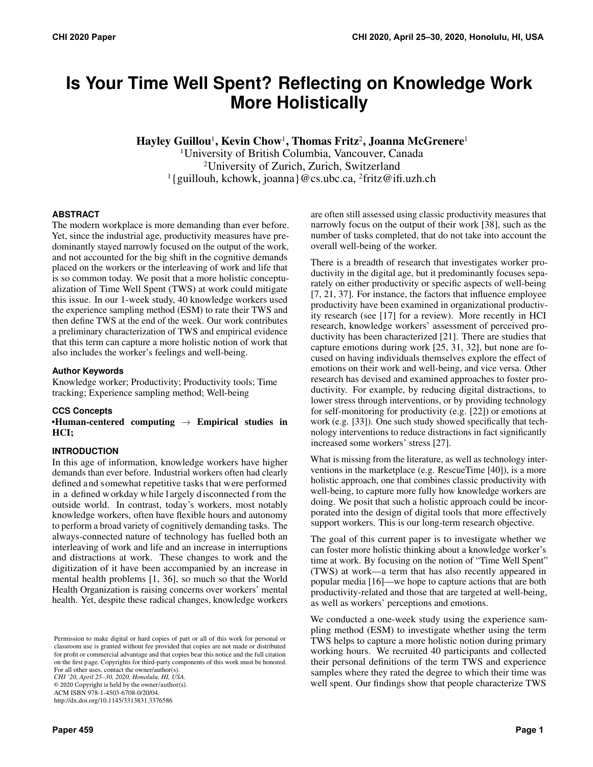# **Is Your Time Well Spent? Reflecting on Knowledge Work More Holistically**

Hayley Guillou<sup>1</sup>, Kevin Chow<sup>1</sup>, Thomas Fritz<sup>2</sup>, Joanna McGrenere<sup>1</sup>

<sup>1</sup>University of British Columbia, Vancouver, Canada <sup>2</sup>University of Zurich, Zurich, Switzerland <sup>1</sup>{guillouh, kchowk, joanna}@cs.ubc.ca, <sup>2</sup>fritz@ifi.uzh.ch

## **ABSTRACT**

The modern workplace is more demanding than ever before. Yet, since the industrial age, productivity measures have predominantly stayed narrowly focused on the output of the work, and not accounted for the big shift in the cognitive demands placed on the workers or the interleaving of work and life that is so common today. We posit that a more holistic conceptualization of Time Well Spent (TWS) at work could mitigate this issue. In our 1-week study, 40 knowledge workers used the experience sampling method (ESM) to rate their TWS and then define TWS at the end of the week. Our work contributes a preliminary characterization of TWS and empirical evidence that this term can capture a more holistic notion of work that also includes the worker's feelings and well-being.

## **Author Keywords**

Knowledge worker; Productivity; Productivity tools; Time tracking; Experience sampling method; Well-being

# **CCS Concepts**

•Human-centered computing  $\rightarrow$  Empirical studies in HCI;

# **INTRODUCTION**

In this age of information, knowledge workers have higher demands than ever before. Industrial workers often had clearly defined and somewhat repetitive tasks that were performed in a defined w orkday w hile l argely disconnected f rom the outside world. In contrast, today's workers, most notably knowledge workers, often have flexible hours and autonomy to perform a broad variety of cognitively demanding tasks. The always-connected nature of technology has fuelled both an interleaving of work and life and an increase in interruptions and distractions at work. These changes to work and the digitization of it have been accompanied by an increase in mental health problems [\[1,](#page-5-0) [36\],](#page-7-0) so much so that the World Health Organization is raising concerns over workers' mental health. Yet, despite these radical changes, knowledge workers

*CHI '20, April 25–30, 2020, Honolulu, HI, USA.*

© 2020 Copyright is held by the owner/author(s).

ACM ISBN 978-1-4503-6708-0/20/04. http://dx.doi.org/10.1145/3313831.3376586

**Paper 459 Page 1**

are often still assessed using classic productivity measures that narrowly focus on the output of their work [\[38\]](#page-7-1), such as the number of tasks completed, that do not take into account the overall well-being of the worker.

There is a breadth of research that investigates worker productivity in the digital age, but it predominantly focuses separately on either productivity or specific aspects of well-being [\[7,](#page-5-1) [21,](#page-6-0) [37\]](#page-7-2). For instance, the factors that influence employee productivity have been examined in organizational productivity research (see [\[17\]](#page-6-1) for a review). More recently in HCI research, knowledge workers' assessment of perceived productivity has been characterized [\[21\]](#page-6-0). There are studies that capture emotions during work [\[25,](#page-6-2) [31,](#page-7-3) [32\]](#page-7-4), but none are focused on having individuals themselves explore the effect of emotions on their work and well-being, and vice versa. Other research has devised and examined approaches to foster productivity. For example, by reducing digital distractions, to lower stress through interventions, or by providing technology for self-monitoring for productivity (e.g. [\[22\]](#page-6-3)) or emotions at work (e.g. [\[33\]](#page-7-5)). One such study showed specifically that technology interventions to reduce distractions in fact significantly increased some workers' stress [\[27\]](#page-7-6).

What is missing from the literature, as well as technology interventions in the marketplace (e.g. RescueTime [\[40\]](#page-7-7)), is a more holistic approach, one that combines classic productivity with well-being, to capture more fully how knowledge workers are doing. We posit that such a holistic approach could be incorporated into the design of digital tools that more effectively support workers. This is our long-term research objective.

The goal of this current paper is to investigate whether we can foster more holistic thinking about a knowledge worker's time at work. By focusing on the notion of "Time Well Spent" (TWS) at work—a term that has also recently appeared in popular media [\[16\]](#page-6-4)—we hope to capture actions that are both productivity-related and those that are targeted at well-being, as well as workers' perceptions and emotions.

We conducted a one-week study using the experience sampling method (ESM) to investigate whether using the term TWS helps to capture a more holistic notion during primary working hours. We recruited 40 participants and collected their personal definitions of the term TWS and experience samples where they rated the degree to which their time was well spent. Our findings show that people characterize TWS

Permission to make digital or hard copies of part or all of this work for personal or classroom use is granted without fee provided that copies are not made or distributed for profit or commercial advantage and that copies bear this notice and the full citation on the first page. Copyrights for third-party components of this work must be honored. For all other uses, contact the owner/author(s).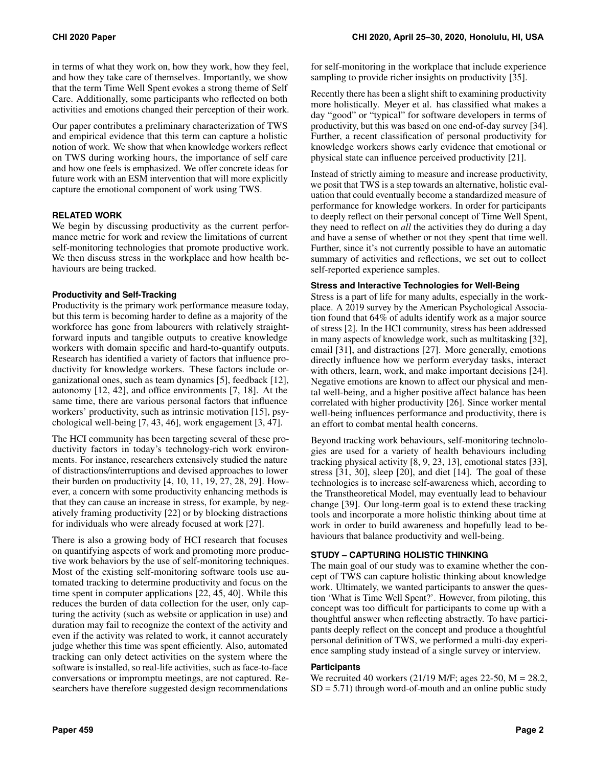in terms of what they work on, how they work, how they feel, and how they take care of themselves. Importantly, we show that the term Time Well Spent evokes a strong theme of Self Care. Additionally, some participants who reflected on both activities and emotions changed their perception of their work.

Our paper contributes a preliminary characterization of TWS and empirical evidence that this term can capture a holistic notion of work. We show that when knowledge workers reflect on TWS during working hours, the importance of self care and how one feels is emphasized. We offer concrete ideas for future work with an ESM intervention that will more explicitly capture the emotional component of work using TWS.

## **RELATED WORK**

We begin by discussing productivity as the current performance metric for work and review the limitations of current self-monitoring technologies that promote productive work. We then discuss stress in the workplace and how health behaviours are being tracked.

## **Productivity and Self-Tracking**

Productivity is the primary work performance measure today, but this term is becoming harder to define as a majority of the workforce has gone from labourers with relatively straightforward inputs and tangible outputs to creative knowledge workers with domain specific and hard-to-quantify outputs. Research has identified a variety of factors that influence productivity for knowledge workers. These factors include organizational ones, such as team dynamics [\[5\]](#page-5-2), feedback [\[12\]](#page-6-5), autonomy [\[12,](#page-6-5) [42\]](#page-7-8), and office environments [\[7,](#page-5-1) [18\]](#page-6-6). At the same time, there are various personal factors that influence workers' productivity, such as intrinsic motivation [\[15\]](#page-6-7), psychological well-being [\[7,](#page-5-1) [43,](#page-7-9) [46\]](#page-8-0), work engagement [\[3,](#page-5-3) [47\]](#page-8-1).

The HCI community has been targeting several of these productivity factors in today's technology-rich work environments. For instance, researchers extensively studied the nature of distractions/interruptions and devised approaches to lower their burden on productivity [\[4,](#page-5-4) [10,](#page-6-8) [11,](#page-6-9) [19,](#page-6-10) [27,](#page-7-6) [28,](#page-7-10) [29\]](#page-7-11). However, a concern with some productivity enhancing methods is that they can cause an increase in stress, for example, by negatively framing productivity [\[22\]](#page-6-3) or by blocking distractions for individuals who were already focused at work [\[27\]](#page-7-6).

There is also a growing body of HCI research that focuses on quantifying aspects of work and promoting more productive work behaviors by the use of self-monitoring techniques. Most of the existing self-monitoring software tools use automated tracking to determine productivity and focus on the time spent in computer applications [\[22,](#page-6-3) [45,](#page-7-12) [40\]](#page-7-7). While this reduces the burden of data collection for the user, only capturing the activity (such as website or application in use) and duration may fail to recognize the context of the activity and even if the activity was related to work, it cannot accurately judge whether this time was spent efficiently. Also, automated tracking can only detect activities on the system where the software is installed, so real-life activities, such as face-to-face conversations or impromptu meetings, are not captured. Researchers have therefore suggested design recommendations

for self-monitoring in the workplace that include experience sampling to provide richer insights on productivity [\[35\]](#page-7-13).

Recently there has been a slight shift to examining productivity more holistically. Meyer et al. has classified what makes a day "good" or "typical" for software developers in terms of productivity, but this was based on one end-of-day survey [\[34\]](#page-7-14). Further, a recent classification of personal productivity for knowledge workers shows early evidence that emotional or physical state can influence perceived productivity [\[21\]](#page-6-0).

Instead of strictly aiming to measure and increase productivity, we posit that TWS is a step towards an alternative, holistic evaluation that could eventually become a standardized measure of performance for knowledge workers. In order for participants to deeply reflect on their personal concept of Time Well Spent, they need to reflect on *all* the activities they do during a day and have a sense of whether or not they spent that time well. Further, since it's not currently possible to have an automatic summary of activities and reflections, we set out to collect self-reported experience samples.

#### **Stress and Interactive Technologies for Well-Being**

Stress is a part of life for many adults, especially in the workplace. A 2019 survey by the American Psychological Association found that 64% of adults identify work as a major source of stress [\[2\]](#page-5-5). In the HCI community, stress has been addressed in many aspects of knowledge work, such as multitasking [\[32\]](#page-7-4), email [\[31\]](#page-7-3), and distractions [\[27\]](#page-7-6). More generally, emotions directly influence how we perform everyday tasks, interact with others, learn, work, and make important decisions [\[24\]](#page-6-11). Negative emotions are known to affect our physical and mental well-being, and a higher positive affect balance has been correlated with higher productivity [\[26\]](#page-7-15). Since worker mental well-being influences performance and productivity, there is an effort to combat mental health concerns.

Beyond tracking work behaviours, self-monitoring technologies are used for a variety of health behaviours including tracking physical activity [\[8,](#page-6-12) [9,](#page-6-13) [23,](#page-6-14) [13\]](#page-6-15), emotional states [\[33\]](#page-7-5), stress [\[31,](#page-7-3) [30\]](#page-7-16), sleep [\[20\]](#page-6-16), and diet [\[14\]](#page-6-17). The goal of these technologies is to increase self-awareness which, according to the Transtheoretical Model, may eventually lead to behaviour change [\[39\]](#page-7-17). Our long-term goal is to extend these tracking tools and incorporate a more holistic thinking about time at work in order to build awareness and hopefully lead to behaviours that balance productivity and well-being.

# **STUDY – CAPTURING HOLISTIC THINKING**

The main goal of our study was to examine whether the concept of TWS can capture holistic thinking about knowledge work. Ultimately, we wanted participants to answer the question 'What is Time Well Spent?'. However, from piloting, this concept was too difficult for participants to come up with a thoughtful answer when reflecting abstractly. To have participants deeply reflect on the concept and produce a thoughtful personal definition of TWS, we performed a multi-day experience sampling study instead of a single survey or interview.

#### **Participants**

We recruited 40 workers (21/19 M/F; ages 22-50, M = 28.2,  $SD = 5.71$ ) through word-of-mouth and an online public study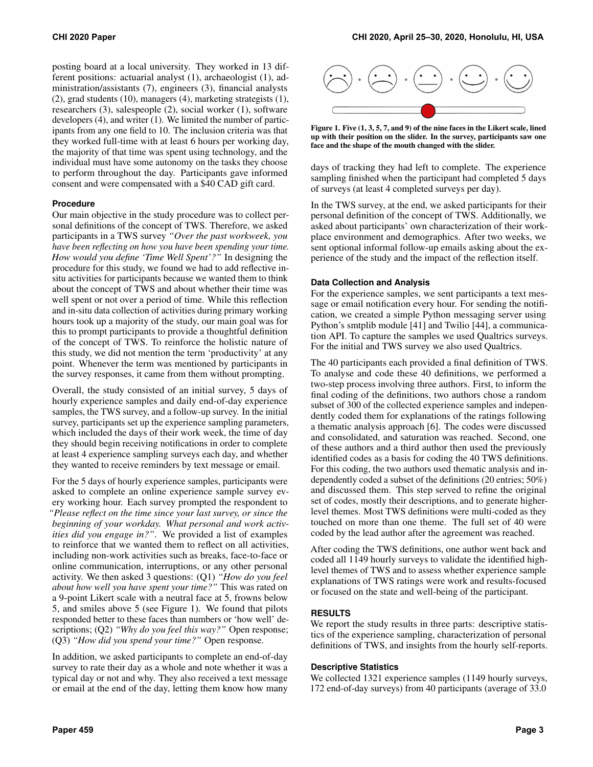posting board at a local university. They worked in 13 different positions: actuarial analyst (1), archaeologist (1), administration/assistants (7), engineers (3), financial analysts (2), grad students (10), managers (4), marketing strategists (1), researchers (3), salespeople (2), social worker (1), software developers (4), and writer (1). We limited the number of participants from any one field to 10. The inclusion criteria was that they worked full-time with at least 6 hours per working day, the majority of that time was spent using technology, and the individual must have some autonomy on the tasks they choose to perform throughout the day. Participants gave informed consent and were compensated with a \$40 CAD gift card.

#### **Procedure**

Our main objective in the study procedure was to collect personal definitions of the concept of TWS. Therefore, we asked participants in a TWS survey *"Over the past workweek, you have been reflecting on how you have been spending your time. How would you define 'Time Well Spent'?"* In designing the procedure for this study, we found we had to add reflective insitu activities for participants because we wanted them to think about the concept of TWS and about whether their time was well spent or not over a period of time. While this reflection and in-situ data collection of activities during primary working hours took up a majority of the study, our main goal was for this to prompt participants to provide a thoughtful definition of the concept of TWS. To reinforce the holistic nature of this study, we did not mention the term 'productivity' at any point. Whenever the term was mentioned by participants in the survey responses, it came from them without prompting.

Overall, the study consisted of an initial survey, 5 days of hourly experience samples and daily end-of-day experience samples, the TWS survey, and a follow-up survey. In the initial survey, participants set up the experience sampling parameters, which included the days of their work week, the time of day they should begin receiving notifications in order to complete at least 4 experience sampling surveys each day, and whether they wanted to receive reminders by text message or email.

For the 5 days of hourly experience samples, participants were asked to complete an online experience sample survey every working hour. Each survey prompted the respondent to *"Please reflect on the time since your last survey, or since the beginning of your workday. What personal and work activities did you engage in?"*. We provided a list of examples to reinforce that we wanted them to reflect on all activities, including non-work activities such as breaks, face-to-face or online communication, interruptions, or any other personal activity. We then asked 3 questions: (Q1) *"How do you feel about how well you have spent your time?"* This was rated on a 9-point Likert scale with a neutral face at 5, frowns below 5, and smiles above 5 (see Figure [1\)](#page-2-0). We found that pilots responded better to these faces than numbers or 'how well' descriptions; (Q2) *"Why do you feel this way?"* Open response; (Q3) *"How did you spend your time?"* Open response.

In addition, we asked participants to complete an end-of-day survey to rate their day as a whole and note whether it was a typical day or not and why. They also received a text message or email at the end of the day, letting them know how many



<span id="page-2-0"></span>Figure 1. Five (1, 3, 5, 7, and 9) of the nine faces in the Likert scale, lined up with their position on the slider. In the survey, participants saw one face and the shape of the mouth changed with the slider.

days of tracking they had left to complete. The experience sampling finished when the participant had completed 5 days of surveys (at least 4 completed surveys per day).

In the TWS survey, at the end, we asked participants for their personal definition of the concept of TWS. Additionally, we asked about participants' own characterization of their workplace environment and demographics. After two weeks, we sent optional informal follow-up emails asking about the experience of the study and the impact of the reflection itself.

# **Data Collection and Analysis**

For the experience samples, we sent participants a text message or email notification every hour. For sending the notification, we created a simple Python messaging server using Python's smtplib module [\[41\]](#page-7-18) and Twilio [\[44\]](#page-7-19), a communication API. To capture the samples we used Qualtrics surveys. For the initial and TWS survey we also used Qualtrics.

The 40 participants each provided a final definition of TWS. To analyse and code these 40 definitions, we performed a two-step process involving three authors. First, to inform the final coding of the definitions, two authors chose a random subset of 300 of the collected experience samples and independently coded them for explanations of the ratings following a thematic analysis approach [\[6\]](#page-5-6). The codes were discussed and consolidated, and saturation was reached. Second, one of these authors and a third author then used the previously identified codes as a basis for coding the 40 TWS definitions. For this coding, the two authors used thematic analysis and independently coded a subset of the definitions (20 entries; 50%) and discussed them. This step served to refine the original set of codes, mostly their descriptions, and to generate higherlevel themes. Most TWS definitions were multi-coded as they touched on more than one theme. The full set of 40 were coded by the lead author after the agreement was reached.

After coding the TWS definitions, one author went back and coded all 1149 hourly surveys to validate the identified highlevel themes of TWS and to assess whether experience sample explanations of TWS ratings were work and results-focused or focused on the state and well-being of the participant.

# **RESULTS**

We report the study results in three parts: descriptive statistics of the experience sampling, characterization of personal definitions of TWS, and insights from the hourly self-reports.

#### **Descriptive Statistics**

We collected 1321 experience samples (1149 hourly surveys, 172 end-of-day surveys) from 40 participants (average of 33.0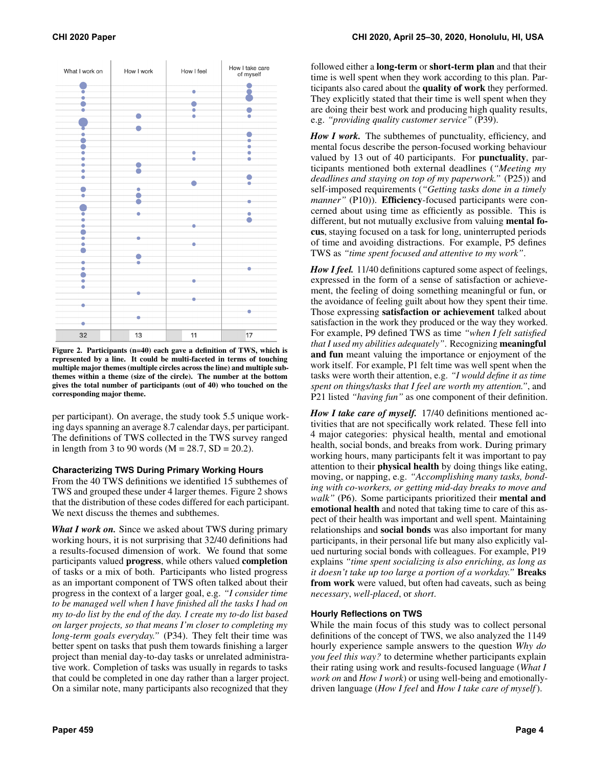

<span id="page-3-0"></span>Figure 2. Participants (n=40) each gave a definition of TWS, which is represented by a line. It could be multi-faceted in terms of touching multiple major themes (multiple circles across the line) and multiple subthemes within a theme (size of the circle). The number at the bottom gives the total number of participants (out of 40) who touched on the corresponding major theme.

per participant). On average, the study took 5.5 unique working days spanning an average 8.7 calendar days, per participant. The definitions of TWS collected in the TWS survey ranged in length from 3 to 90 words ( $M = 28.7$ ,  $SD = 20.2$ ).

#### **Characterizing TWS During Primary Working Hours**

From the 40 TWS definitions we identified 15 subthemes of TWS and grouped these under 4 larger themes. Figure [2](#page-3-0) shows that the distribution of these codes differed for each participant. We next discuss the themes and subthemes.

*What I work on.* Since we asked about TWS during primary working hours, it is not surprising that 32/40 definitions had a results-focused dimension of work. We found that some participants valued progress, while others valued completion of tasks or a mix of both. Participants who listed progress as an important component of TWS often talked about their progress in the context of a larger goal, e.g. *"I consider time to be managed well when I have finished all the tasks I had on my to-do list by the end of the day. I create my to-do list based on larger projects, so that means I'm closer to completing my long-term goals everyday."* (P34). They felt their time was better spent on tasks that push them towards finishing a larger project than menial day-to-day tasks or unrelated administrative work. Completion of tasks was usually in regards to tasks that could be completed in one day rather than a larger project. On a similar note, many participants also recognized that they

followed either a long-term or short-term plan and that their time is well spent when they work according to this plan. Participants also cared about the quality of work they performed. They explicitly stated that their time is well spent when they are doing their best work and producing high quality results, e.g. *"providing quality customer service"* (P39).

*How I work.* The subthemes of punctuality, efficiency, and mental focus describe the person-focused working behaviour valued by 13 out of 40 participants. For punctuality, participants mentioned both external deadlines (*"Meeting my deadlines and staying on top of my paperwork."* (P25)) and self-imposed requirements (*"Getting tasks done in a timely manner"* (P10)). **Efficiency**-focused participants were concerned about using time as efficiently as possible. This is different, but not mutually exclusive from valuing mental focus, staying focused on a task for long, uninterrupted periods of time and avoiding distractions. For example, P5 defines TWS as *"time spent focused and attentive to my work"*.

*How I feel.* 11/40 definitions captured some aspect of feelings, expressed in the form of a sense of satisfaction or achievement, the feeling of doing something meaningful or fun, or the avoidance of feeling guilt about how they spent their time. Those expressing satisfaction or achievement talked about satisfaction in the work they produced or the way they worked. For example, P9 defined TWS as time *"when I felt satisfied that I used my abilities adequately"*. Recognizing meaningful and fun meant valuing the importance or enjoyment of the work itself. For example, P1 felt time was well spent when the tasks were worth their attention, e.g. *"I would define it as time spent on things/tasks that I feel are worth my attention."*, and P21 listed *"having fun"* as one component of their definition.

*How I take care of myself.* 17/40 definitions mentioned activities that are not specifically work related. These fell into 4 major categories: physical health, mental and emotional health, social bonds, and breaks from work. During primary working hours, many participants felt it was important to pay attention to their physical health by doing things like eating, moving, or napping, e.g. *"Accomplishing many tasks, bonding with co-workers, or getting mid-day breaks to move and walk"* (P6). Some participants prioritized their mental and emotional health and noted that taking time to care of this aspect of their health was important and well spent. Maintaining relationships and social bonds was also important for many participants, in their personal life but many also explicitly valued nurturing social bonds with colleagues. For example, P19 explains *"time spent socializing is also enriching, as long as it doesn't take up too large a portion of a workday."* Breaks from work were valued, but often had caveats, such as being *necessary*, *well-placed*, or *short*.

## **Hourly Reflections on TWS**

While the main focus of this study was to collect personal definitions of the concept of TWS, we also analyzed the 1149 hourly experience sample answers to the question *Why do you feel this way?* to determine whether participants explain their rating using work and results-focused language (*What I work on* and *How I work*) or using well-being and emotionallydriven language (*How I feel* and *How I take care of myself*).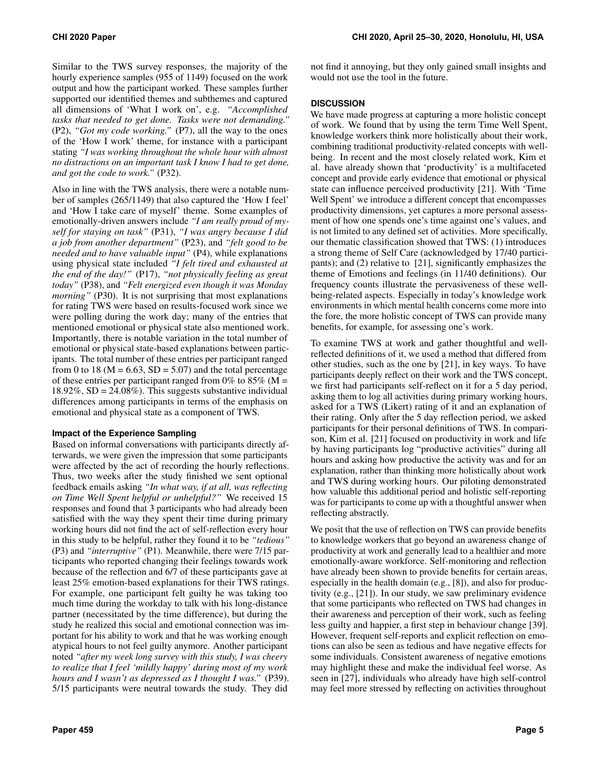Similar to the TWS survey responses, the majority of the hourly experience samples (955 of 1149) focused on the work output and how the participant worked. These samples further supported our identified themes and subthemes and captured all dimensions of 'What I work on', e.g. *"Accomplished tasks that needed to get done. Tasks were not demanding."* (P2), *"Got my code working."* (P7), all the way to the ones of the 'How I work' theme, for instance with a participant stating *"I was working throughout the whole hour with almost no distractions on an important task I know I had to get done, and got the code to work."* (P32).

Also in line with the TWS analysis, there were a notable number of samples (265/1149) that also captured the 'How I feel' and 'How I take care of myself' theme. Some examples of emotionally-driven answers include *"I am really proud of myself for staying on task"* (P31), *"I was angry because I did a job from another department"* (P23), and *"felt good to be needed and to have valuable input"* (P4), while explanations using physical state included *"I felt tired and exhausted at the end of the day!"* (P17), *"not physically feeling as great today"* (P38), and *"Felt energized even though it was Monday morning*" (P30). It is not surprising that most explanations for rating TWS were based on results-focused work since we were polling during the work day; many of the entries that mentioned emotional or physical state also mentioned work. Importantly, there is notable variation in the total number of emotional or physical state-based explanations between participants. The total number of these entries per participant ranged from 0 to 18 ( $M = 6.63$ ,  $SD = 5.07$ ) and the total percentage of these entries per participant ranged from 0% to 85% (M =  $18.92\%$ , SD = 24.08%). This suggests substantive individual differences among participants in terms of the emphasis on emotional and physical state as a component of TWS.

# **Impact of the Experience Sampling**

Based on informal conversations with participants directly afterwards, we were given the impression that some participants were affected by the act of recording the hourly reflections. Thus, two weeks after the study finished we sent optional feedback emails asking *"In what way, if at all, was reflecting on Time Well Spent helpful or unhelpful?"* We received 15 responses and found that 3 participants who had already been satisfied with the way they spent their time during primary working hours did not find the act of self-reflection every hour in this study to be helpful, rather they found it to be *"tedious"* (P3) and *"interruptive"* (P1). Meanwhile, there were 7/15 participants who reported changing their feelings towards work because of the reflection and 6/7 of these participants gave at least 25% emotion-based explanations for their TWS ratings. For example, one participant felt guilty he was taking too much time during the workday to talk with his long-distance partner (necessitated by the time difference), but during the study he realized this social and emotional connection was important for his ability to work and that he was working enough atypical hours to not feel guilty anymore. Another participant noted *"after my week long survey with this study, I was cheery to realize that I feel 'mildly happy' during most of my work hours and I wasn't as depressed as I thought I was."* (P39). 5/15 participants were neutral towards the study. They did

not find it annoying, but they only gained small insights and would not use the tool in the future.

#### **DISCUSSION**

We have made progress at capturing a more holistic concept of work. We found that by using the term Time Well Spent, knowledge workers think more holistically about their work, combining traditional productivity-related concepts with wellbeing. In recent and the most closely related work, Kim et al. have already shown that 'productivity' is a multifaceted concept and provide early evidence that emotional or physical state can influence perceived productivity [\[21\]](#page-6-0). With 'Time Well Spent' we introduce a different concept that encompasses productivity dimensions, yet captures a more personal assessment of how one spends one's time against one's values, and is not limited to any defined set of activities. More specifically, our thematic classification showed that TWS: (1) introduces a strong theme of Self Care (acknowledged by 17/40 participants); and (2) relative to [\[21\]](#page-6-0), significantly emphasizes the theme of Emotions and feelings (in 11/40 definitions). Our frequency counts illustrate the pervasiveness of these wellbeing-related aspects. Especially in today's knowledge work environments in which mental health concerns come more into the fore, the more holistic concept of TWS can provide many benefits, for example, for assessing one's work.

To examine TWS at work and gather thoughtful and wellreflected definitions of it, we used a method that differed from other studies, such as the one by [\[21\]](#page-6-0), in key ways. To have participants deeply reflect on their work and the TWS concept, we first had participants self-reflect on it for a 5 day period, asking them to log all activities during primary working hours, asked for a TWS (Likert) rating of it and an explanation of their rating. Only after the 5 day reflection period, we asked participants for their personal definitions of TWS. In comparison, Kim et al. [\[21\]](#page-6-0) focused on productivity in work and life by having participants log "productive activities" during all hours and asking how productive the activity was and for an explanation, rather than thinking more holistically about work and TWS during working hours. Our piloting demonstrated how valuable this additional period and holistic self-reporting was for participants to come up with a thoughtful answer when reflecting abstractly.

We posit that the use of reflection on TWS can provide benefits to knowledge workers that go beyond an awareness change of productivity at work and generally lead to a healthier and more emotionally-aware workforce. Self-monitoring and reflection have already been shown to provide benefits for certain areas, especially in the health domain (e.g., [\[8\]](#page-6-12)), and also for productivity (e.g., [\[21\]](#page-6-0)). In our study, we saw preliminary evidence that some participants who reflected on TWS had changes in their awareness and perception of their work, such as feeling less guilty and happier, a first step in behaviour change [\[39\]](#page-7-17). However, frequent self-reports and explicit reflection on emotions can also be seen as tedious and have negative effects for some individuals. Consistent awareness of negative emotions may highlight these and make the individual feel worse. As seen in [\[27\]](#page-7-6), individuals who already have high self-control may feel more stressed by reflecting on activities throughout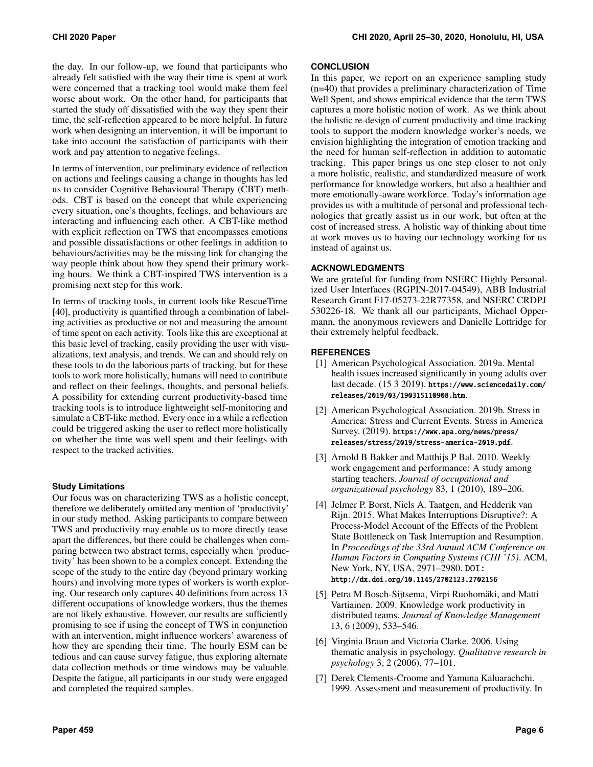the day. In our follow-up, we found that participants who already felt satisfied with the way their time is spent at work were concerned that a tracking tool would make them feel worse about work. On the other hand, for participants that started the study off dissatisfied with the way they spent their time, the self-reflection appeared to be more helpful. In future work when designing an intervention, it will be important to take into account the satisfaction of participants with their work and pay attention to negative feelings.

In terms of intervention, our preliminary evidence of reflection on actions and feelings causing a change in thoughts has led us to consider Cognitive Behavioural Therapy (CBT) methods. CBT is based on the concept that while experiencing every situation, one's thoughts, feelings, and behaviours are interacting and influencing each other. A CBT-like method with explicit reflection on TWS that encompasses emotions and possible dissatisfactions or other feelings in addition to behaviours/activities may be the missing link for changing the way people think about how they spend their primary working hours. We think a CBT-inspired TWS intervention is a promising next step for this work.

In terms of tracking tools, in current tools like RescueTime [\[40\]](#page-7-7), productivity is quantified through a combination of labeling activities as productive or not and measuring the amount of time spent on each activity. Tools like this are exceptional at this basic level of tracking, easily providing the user with visualizations, text analysis, and trends. We can and should rely on these tools to do the laborious parts of tracking, but for these tools to work more holistically, humans will need to contribute and reflect on their feelings, thoughts, and personal beliefs. A possibility for extending current productivity-based time tracking tools is to introduce lightweight self-monitoring and simulate a CBT-like method. Every once in a while a reflection could be triggered asking the user to reflect more holistically on whether the time was well spent and their feelings with respect to the tracked activities.

# **Study Limitations**

Our focus was on characterizing TWS as a holistic concept, therefore we deliberately omitted any mention of 'productivity' in our study method. Asking participants to compare between TWS and productivity may enable us to more directly tease apart the differences, but there could be challenges when comparing between two abstract terms, especially when 'productivity' has been shown to be a complex concept. Extending the scope of the study to the entire day (beyond primary working hours) and involving more types of workers is worth exploring. Our research only captures 40 definitions from across 13 different occupations of knowledge workers, thus the themes are not likely exhaustive. However, our results are sufficiently promising to see if using the concept of TWS in conjunction with an intervention, might influence workers' awareness of how they are spending their time. The hourly ESM can be tedious and can cause survey fatigue, thus exploring alternate data collection methods or time windows may be valuable. Despite the fatigue, all participants in our study were engaged and completed the required samples.

#### **CONCLUSION**

In this paper, we report on an experience sampling study (n=40) that provides a preliminary characterization of Time Well Spent, and shows empirical evidence that the term TWS captures a more holistic notion of work. As we think about the holistic re-design of current productivity and time tracking tools to support the modern knowledge worker's needs, we envision highlighting the integration of emotion tracking and the need for human self-reflection in addition to automatic tracking. This paper brings us one step closer to not only a more holistic, realistic, and standardized measure of work performance for knowledge workers, but also a healthier and more emotionally-aware workforce. Today's information age provides us with a multitude of personal and professional technologies that greatly assist us in our work, but often at the cost of increased stress. A holistic way of thinking about time at work moves us to having our technology working for us instead of against us.

## **ACKNOWLEDGMENTS**

We are grateful for funding from NSERC Highly Personalized User Interfaces (RGPIN-2017-04549), ABB Industrial Research Grant F17-05273-22R77358, and NSERC CRDPJ 530226-18. We thank all our participants, Michael Oppermann, the anonymous reviewers and Danielle Lottridge for their extremely helpful feedback.

# <span id="page-5-0"></span>**REFERENCES**

- [1] American Psychological Association. 2019a. Mental health issues increased significantly in young adults over last decade. (15 3 2019). [https://www.sciencedaily.com/](https://www.sciencedaily.com/releases/2019/03/190315110908.htm) [releases/2019/03/190315110908.htm](https://www.sciencedaily.com/releases/2019/03/190315110908.htm).
- <span id="page-5-5"></span>[2] American Psychological Association. 2019b. Stress in America: Stress and Current Events. Stress in America Survey. (2019). [https://www.apa.org/news/press/](https://www.apa.org/news/press/releases/stress/2019/stress-america-2019.pdf) [releases/stress/2019/stress-america-2019.pdf](https://www.apa.org/news/press/releases/stress/2019/stress-america-2019.pdf).
- <span id="page-5-3"></span>[3] Arnold B Bakker and Matthijs P Bal. 2010. Weekly work engagement and performance: A study among starting teachers. *Journal of occupational and organizational psychology* 83, 1 (2010), 189–206.
- <span id="page-5-4"></span>[4] Jelmer P. Borst, Niels A. Taatgen, and Hedderik van Rijn. 2015. What Makes Interruptions Disruptive?: A Process-Model Account of the Effects of the Problem State Bottleneck on Task Interruption and Resumption. In *Proceedings of the 33rd Annual ACM Conference on Human Factors in Computing Systems (CHI '15)*. ACM, New York, NY, USA, 2971–2980. DOI: <http://dx.doi.org/10.1145/2702123.2702156>
- <span id="page-5-2"></span>[5] Petra M Bosch-Sijtsema, Virpi Ruohomäki, and Matti Vartiainen. 2009. Knowledge work productivity in distributed teams. *Journal of Knowledge Management* 13, 6 (2009), 533–546.
- <span id="page-5-6"></span>[6] Virginia Braun and Victoria Clarke. 2006. Using thematic analysis in psychology. *Qualitative research in psychology* 3, 2 (2006), 77–101.
- <span id="page-5-1"></span>[7] Derek Clements-Croome and Yamuna Kaluarachchi. 1999. Assessment and measurement of productivity. In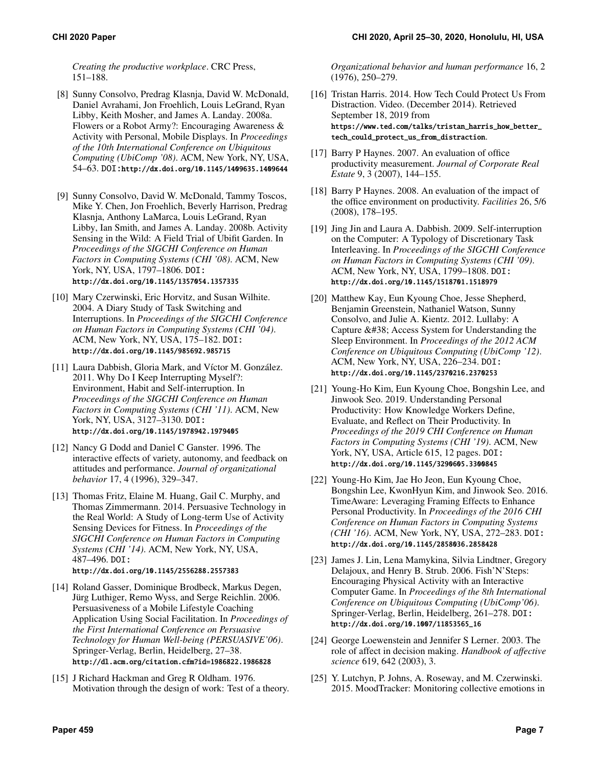*Creating the productive workplace*. CRC Press, 151–188.

- <span id="page-6-12"></span>[8] Sunny Consolvo, Predrag Klasnja, David W. McDonald, Daniel Avrahami, Jon Froehlich, Louis LeGrand, Ryan Libby, Keith Mosher, and James A. Landay. 2008a. Flowers or a Robot Army?: Encouraging Awareness & Activity with Personal, Mobile Displays. In *Proceedings of the 10th International Conference on Ubiquitous Computing (UbiComp '08)*. ACM, New York, NY, USA, 54–63. DOI:<http://dx.doi.org/10.1145/1409635.1409644>
- <span id="page-6-13"></span>[9] Sunny Consolvo, David W. McDonald, Tammy Toscos, Mike Y. Chen, Jon Froehlich, Beverly Harrison, Predrag Klasnja, Anthony LaMarca, Louis LeGrand, Ryan Libby, Ian Smith, and James A. Landay. 2008b. Activity Sensing in the Wild: A Field Trial of Ubifit Garden. In *Proceedings of the SIGCHI Conference on Human Factors in Computing Systems (CHI '08)*. ACM, New York, NY, USA, 1797–1806. DOI: <http://dx.doi.org/10.1145/1357054.1357335>
- <span id="page-6-8"></span>[10] Mary Czerwinski, Eric Horvitz, and Susan Wilhite. 2004. A Diary Study of Task Switching and Interruptions. In *Proceedings of the SIGCHI Conference on Human Factors in Computing Systems (CHI '04)*. ACM, New York, NY, USA, 175–182. DOI: <http://dx.doi.org/10.1145/985692.985715>
- <span id="page-6-9"></span>[11] Laura Dabbish, Gloria Mark, and Víctor M. González. 2011. Why Do I Keep Interrupting Myself?: Environment, Habit and Self-interruption. In *Proceedings of the SIGCHI Conference on Human Factors in Computing Systems (CHI '11)*. ACM, New York, NY, USA, 3127–3130. DOI: <http://dx.doi.org/10.1145/1978942.1979405>
- <span id="page-6-5"></span>[12] Nancy G Dodd and Daniel C Ganster. 1996. The interactive effects of variety, autonomy, and feedback on attitudes and performance. *Journal of organizational behavior* 17, 4 (1996), 329–347.
- <span id="page-6-15"></span>[13] Thomas Fritz, Elaine M. Huang, Gail C. Murphy, and Thomas Zimmermann. 2014. Persuasive Technology in the Real World: A Study of Long-term Use of Activity Sensing Devices for Fitness. In *Proceedings of the SIGCHI Conference on Human Factors in Computing Systems (CHI '14)*. ACM, New York, NY, USA, 487–496. DOI: <http://dx.doi.org/10.1145/2556288.2557383>
- <span id="page-6-17"></span>[14] Roland Gasser, Dominique Brodbeck, Markus Degen, Jürg Luthiger, Remo Wyss, and Serge Reichlin. 2006. Persuasiveness of a Mobile Lifestyle Coaching Application Using Social Facilitation. In *Proceedings of the First International Conference on Persuasive Technology for Human Well-being (PERSUASIVE'06)*. Springer-Verlag, Berlin, Heidelberg, 27–38. <http://dl.acm.org/citation.cfm?id=1986822.1986828>
- <span id="page-6-7"></span>[15] J Richard Hackman and Greg R Oldham. 1976. Motivation through the design of work: Test of a theory.

*Organizational behavior and human performance* 16, 2 (1976), 250–279.

- <span id="page-6-4"></span>[16] Tristan Harris. 2014. How Tech Could Protect Us From Distraction. Video. (December 2014). Retrieved September 18, 2019 from [https://www.ted.com/talks/tristan\\_harris\\_how\\_better\\_](https://www.ted.com/talks/tristan_harris_how_better_tech_could_protect_us_from_distraction) [tech\\_could\\_protect\\_us\\_from\\_distraction](https://www.ted.com/talks/tristan_harris_how_better_tech_could_protect_us_from_distraction).
- <span id="page-6-1"></span>[17] Barry P Haynes. 2007. An evaluation of office productivity measurement. *Journal of Corporate Real Estate* 9, 3 (2007), 144–155.
- <span id="page-6-6"></span>[18] Barry P Haynes. 2008. An evaluation of the impact of the office environment on productivity. *Facilities* 26, 5/6 (2008), 178–195.
- <span id="page-6-10"></span>[19] Jing Jin and Laura A. Dabbish. 2009. Self-interruption on the Computer: A Typology of Discretionary Task Interleaving. In *Proceedings of the SIGCHI Conference on Human Factors in Computing Systems (CHI '09)*. ACM, New York, NY, USA, 1799–1808. DOI: <http://dx.doi.org/10.1145/1518701.1518979>
- <span id="page-6-16"></span>[20] Matthew Kay, Eun Kyoung Choe, Jesse Shepherd, Benjamin Greenstein, Nathaniel Watson, Sunny Consolvo, and Julie A. Kientz. 2012. Lullaby: A Capture  $&\#38$ ; Access System for Understanding the Sleep Environment. In *Proceedings of the 2012 ACM Conference on Ubiquitous Computing (UbiComp '12)*. ACM, New York, NY, USA, 226–234. DOI: <http://dx.doi.org/10.1145/2370216.2370253>
- <span id="page-6-0"></span>[21] Young-Ho Kim, Eun Kyoung Choe, Bongshin Lee, and Jinwook Seo. 2019. Understanding Personal Productivity: How Knowledge Workers Define, Evaluate, and Reflect on Their Productivity. In *Proceedings of the 2019 CHI Conference on Human Factors in Computing Systems (CHI '19)*. ACM, New York, NY, USA, Article 615, 12 pages. DOI: <http://dx.doi.org/10.1145/3290605.3300845>
- <span id="page-6-3"></span>[22] Young-Ho Kim, Jae Ho Jeon, Eun Kyoung Choe, Bongshin Lee, KwonHyun Kim, and Jinwook Seo. 2016. TimeAware: Leveraging Framing Effects to Enhance Personal Productivity. In *Proceedings of the 2016 CHI Conference on Human Factors in Computing Systems (CHI '16)*. ACM, New York, NY, USA, 272–283. DOI: <http://dx.doi.org/10.1145/2858036.2858428>
- <span id="page-6-14"></span>[23] James J. Lin, Lena Mamykina, Silvia Lindtner, Gregory Delajoux, and Henry B. Strub. 2006. Fish'N'Steps: Encouraging Physical Activity with an Interactive Computer Game. In *Proceedings of the 8th International Conference on Ubiquitous Computing (UbiComp'06)*. Springer-Verlag, Berlin, Heidelberg, 261–278. DOI: [http://dx.doi.org/10.1007/11853565\\_16](http://dx.doi.org/10.1007/11853565_16)
- <span id="page-6-11"></span>[24] George Loewenstein and Jennifer S Lerner. 2003. The role of affect in decision making. *Handbook of affective science* 619, 642 (2003), 3.
- <span id="page-6-2"></span>[25] Y. Lutchyn, P. Johns, A. Roseway, and M. Czerwinski. 2015. MoodTracker: Monitoring collective emotions in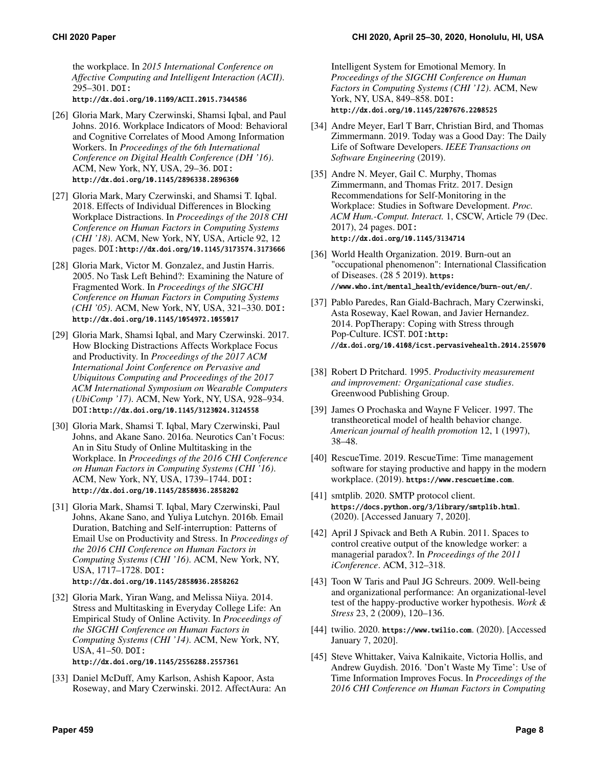the workplace. In *2015 International Conference on Affective Computing and Intelligent Interaction (ACII)*. 295–301. DOI: <http://dx.doi.org/10.1109/ACII.2015.7344586>

<span id="page-7-15"></span>[26] Gloria Mark, Mary Czerwinski, Shamsi Iqbal, and Paul Johns. 2016. Workplace Indicators of Mood: Behavioral and Cognitive Correlates of Mood Among Information Workers. In *Proceedings of the 6th International*

- *Conference on Digital Health Conference (DH '16)*. ACM, New York, NY, USA, 29–36. DOI: <http://dx.doi.org/10.1145/2896338.2896360> [27] Gloria Mark, Mary Czerwinski, and Shamsi T. Iqbal.
- <span id="page-7-6"></span>2018. Effects of Individual Differences in Blocking Workplace Distractions. In *Proceedings of the 2018 CHI Conference on Human Factors in Computing Systems (CHI '18)*. ACM, New York, NY, USA, Article 92, 12 pages. DOI:<http://dx.doi.org/10.1145/3173574.3173666>
- <span id="page-7-10"></span>[28] Gloria Mark, Victor M. Gonzalez, and Justin Harris. 2005. No Task Left Behind?: Examining the Nature of Fragmented Work. In *Proceedings of the SIGCHI Conference on Human Factors in Computing Systems (CHI '05)*. ACM, New York, NY, USA, 321–330. DOI: <http://dx.doi.org/10.1145/1054972.1055017>
- <span id="page-7-11"></span>[29] Gloria Mark, Shamsi Iqbal, and Mary Czerwinski. 2017. How Blocking Distractions Affects Workplace Focus and Productivity. In *Proceedings of the 2017 ACM International Joint Conference on Pervasive and Ubiquitous Computing and Proceedings of the 2017 ACM International Symposium on Wearable Computers (UbiComp '17)*. ACM, New York, NY, USA, 928–934. DOI:<http://dx.doi.org/10.1145/3123024.3124558>
- <span id="page-7-16"></span>[30] Gloria Mark, Shamsi T. Iqbal, Mary Czerwinski, Paul Johns, and Akane Sano. 2016a. Neurotics Can't Focus: An in Situ Study of Online Multitasking in the Workplace. In *Proceedings of the 2016 CHI Conference on Human Factors in Computing Systems (CHI '16)*. ACM, New York, NY, USA, 1739–1744. DOI: <http://dx.doi.org/10.1145/2858036.2858202>
- <span id="page-7-3"></span>[31] Gloria Mark, Shamsi T. Iqbal, Mary Czerwinski, Paul Johns, Akane Sano, and Yuliya Lutchyn. 2016b. Email Duration, Batching and Self-interruption: Patterns of Email Use on Productivity and Stress. In *Proceedings of the 2016 CHI Conference on Human Factors in Computing Systems (CHI '16)*. ACM, New York, NY, USA, 1717–1728. DOI: <http://dx.doi.org/10.1145/2858036.2858262>
- <span id="page-7-4"></span>[32] Gloria Mark, Yiran Wang, and Melissa Niiya. 2014. Stress and Multitasking in Everyday College Life: An Empirical Study of Online Activity. In *Proceedings of the SIGCHI Conference on Human Factors in Computing Systems (CHI '14)*. ACM, New York, NY, USA, 41–50. DOI:

<http://dx.doi.org/10.1145/2556288.2557361>

<span id="page-7-5"></span>[33] Daniel McDuff, Amy Karlson, Ashish Kapoor, Asta Roseway, and Mary Czerwinski. 2012. AffectAura: An

Intelligent System for Emotional Memory. In *Proceedings of the SIGCHI Conference on Human Factors in Computing Systems (CHI '12)*. ACM, New York, NY, USA, 849–858. DOI: <http://dx.doi.org/10.1145/2207676.2208525>

- <span id="page-7-14"></span>[34] Andre Meyer, Earl T Barr, Christian Bird, and Thomas Zimmermann. 2019. Today was a Good Day: The Daily Life of Software Developers. *IEEE Transactions on Software Engineering* (2019).
- <span id="page-7-13"></span>[35] Andre N. Meyer, Gail C. Murphy, Thomas Zimmermann, and Thomas Fritz. 2017. Design Recommendations for Self-Monitoring in the Workplace: Studies in Software Development. *Proc. ACM Hum.-Comput. Interact.* 1, CSCW, Article 79 (Dec. 2017), 24 pages. DOI: <http://dx.doi.org/10.1145/3134714>
- <span id="page-7-0"></span>[36] World Health Organization. 2019. Burn-out an "occupational phenomenon": International Classification of Diseases. (28 5 2019). [https:](https://www.who.int/mental_health/evidence/burn-out/en/) [//www.who.int/mental\\_health/evidence/burn-out/en/](https://www.who.int/mental_health/evidence/burn-out/en/).
- <span id="page-7-2"></span>[37] Pablo Paredes, Ran Giald-Bachrach, Mary Czerwinski, Asta Roseway, Kael Rowan, and Javier Hernandez. 2014. PopTherapy: Coping with Stress through Pop-Culture. ICST. DOI:[http:](http://dx.doi.org/10.4108/icst.pervasivehealth.2014.255070) [//dx.doi.org/10.4108/icst.pervasivehealth.2014.255070](http://dx.doi.org/10.4108/icst.pervasivehealth.2014.255070)
- <span id="page-7-1"></span>[38] Robert D Pritchard. 1995. *Productivity measurement and improvement: Organizational case studies*. Greenwood Publishing Group.
- <span id="page-7-17"></span>[39] James O Prochaska and Wayne F Velicer. 1997. The transtheoretical model of health behavior change. *American journal of health promotion* 12, 1 (1997), 38–48.
- <span id="page-7-7"></span>[40] RescueTime. 2019. RescueTime: Time management software for staying productive and happy in the modern workplace. (2019). <https://www.rescuetime.com>.
- <span id="page-7-18"></span>[41] smtplib. 2020. SMTP protocol client. <https://docs.python.org/3/library/smtplib.html>. (2020). [Accessed January 7, 2020].
- <span id="page-7-8"></span>[42] April J Spivack and Beth A Rubin. 2011. Spaces to control creative output of the knowledge worker: a managerial paradox?. In *Proceedings of the 2011 iConference*. ACM, 312–318.
- <span id="page-7-9"></span>[43] Toon W Taris and Paul JG Schreurs. 2009. Well-being and organizational performance: An organizational-level test of the happy-productive worker hypothesis. *Work & Stress* 23, 2 (2009), 120–136.
- <span id="page-7-19"></span>[44] twilio. 2020. <https://www.twilio.com>. (2020). [Accessed January 7, 2020].
- <span id="page-7-12"></span>[45] Steve Whittaker, Vaiva Kalnikaite, Victoria Hollis, and Andrew Guydish. 2016. 'Don't Waste My Time': Use of Time Information Improves Focus. In *Proceedings of the 2016 CHI Conference on Human Factors in Computing*